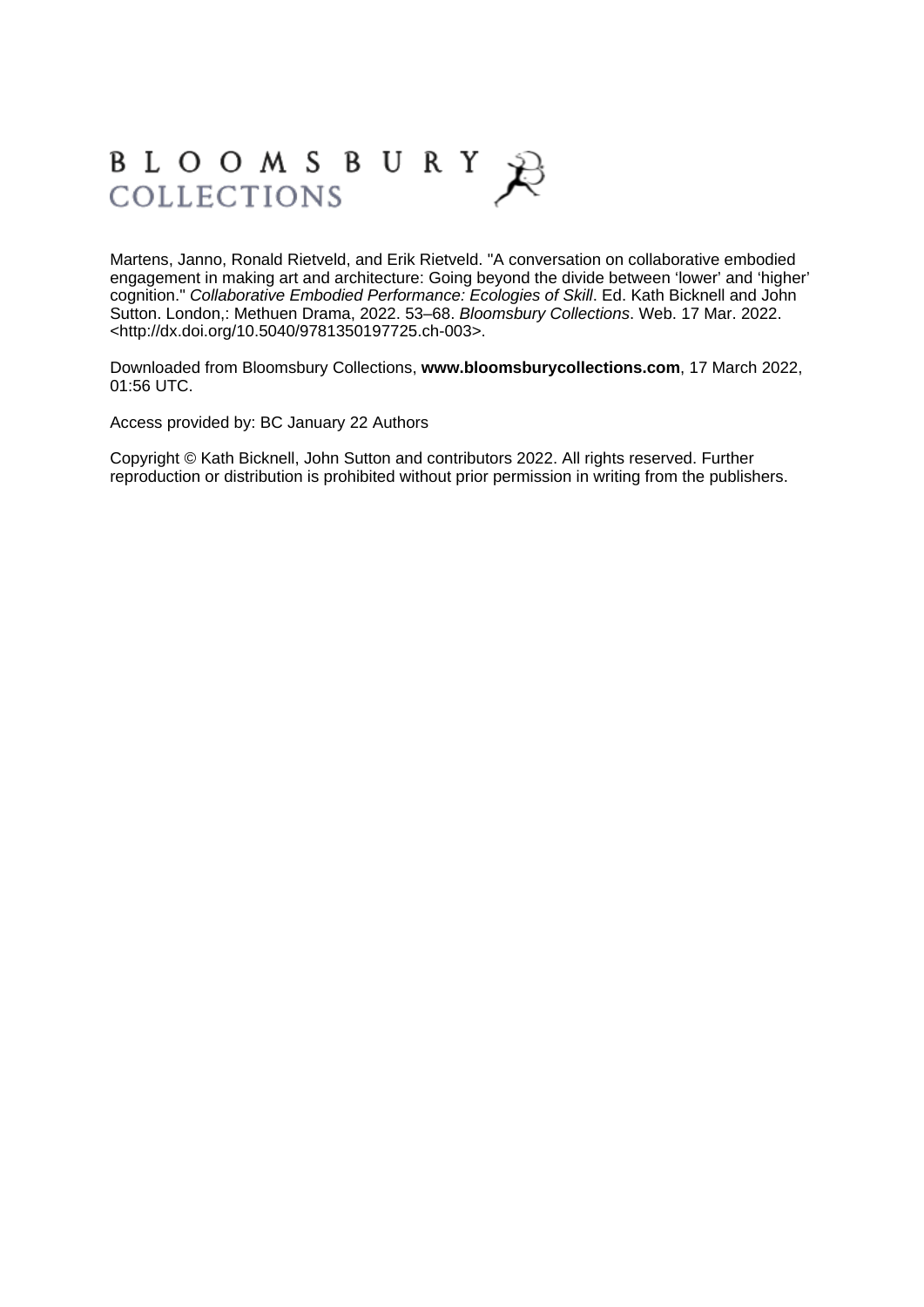## BLOOMSBURY COLLECTIONS

Martens, Janno, Ronald Rietveld, and Erik Rietveld. "A conversation on collaborative embodied engagement in making art and architecture: Going beyond the divide between 'lower' and 'higher' cognition." Collaborative Embodied Performance: Ecologies of Skill. Ed. Kath Bicknell and John Sutton. London,: Methuen Drama, 2022. 53–68. Bloomsbury Collections. Web. 17 Mar. 2022. <http://dx.doi.org/10.5040/9781350197725.ch-003>.

Downloaded from Bloomsbury Collections, **[www.bloomsburycollections.com](http://www.bloomsburycollections.com)**, 17 March 2022, 01:56 UTC.

Access provided by: BC January 22 Authors

Copyright © Kath Bicknell, John Sutton and contributors 2022. All rights reserved. Further reproduction or distribution is prohibited without prior permission in writing from the publishers.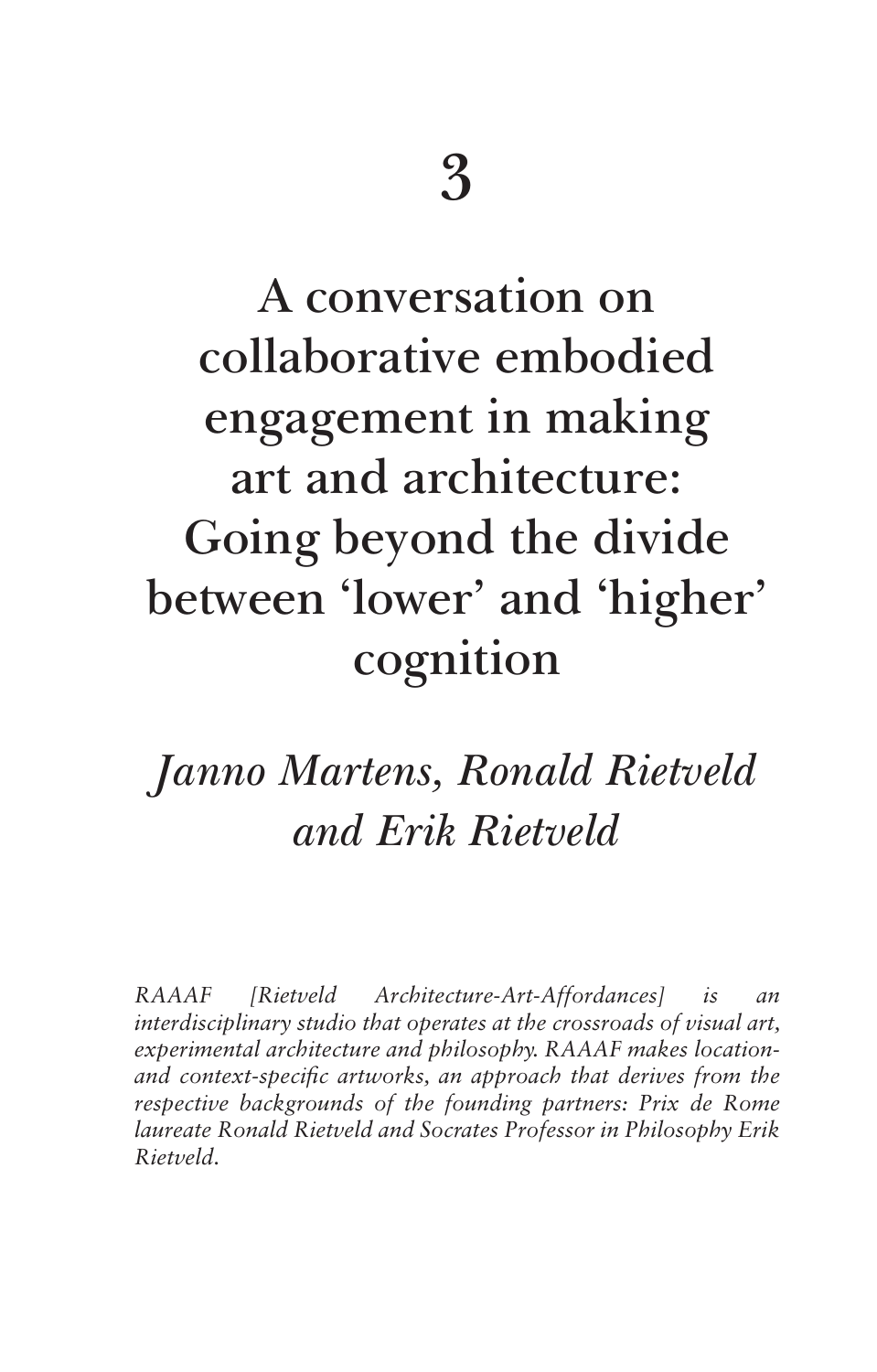# **A conversation on collaborative embodied engagement in making art and architecture: Going beyond the divide between 'lower' and 'higher' cognition**

### Janno Martens, Ronald Rietveld and Erik Rietveld

*RAAAF [Rietveld Architecture-Art-Affordances] is an interdisciplinary studio that operates at the crossroads of visual art, experimental architecture and philosophy. RAAAF makes locationand context-specific artworks, an approach that derives from the respective backgrounds of the founding partners: Prix de Rome laureate Ronald Rietveld and Socrates Professor in Philosophy Erik Rietveld.*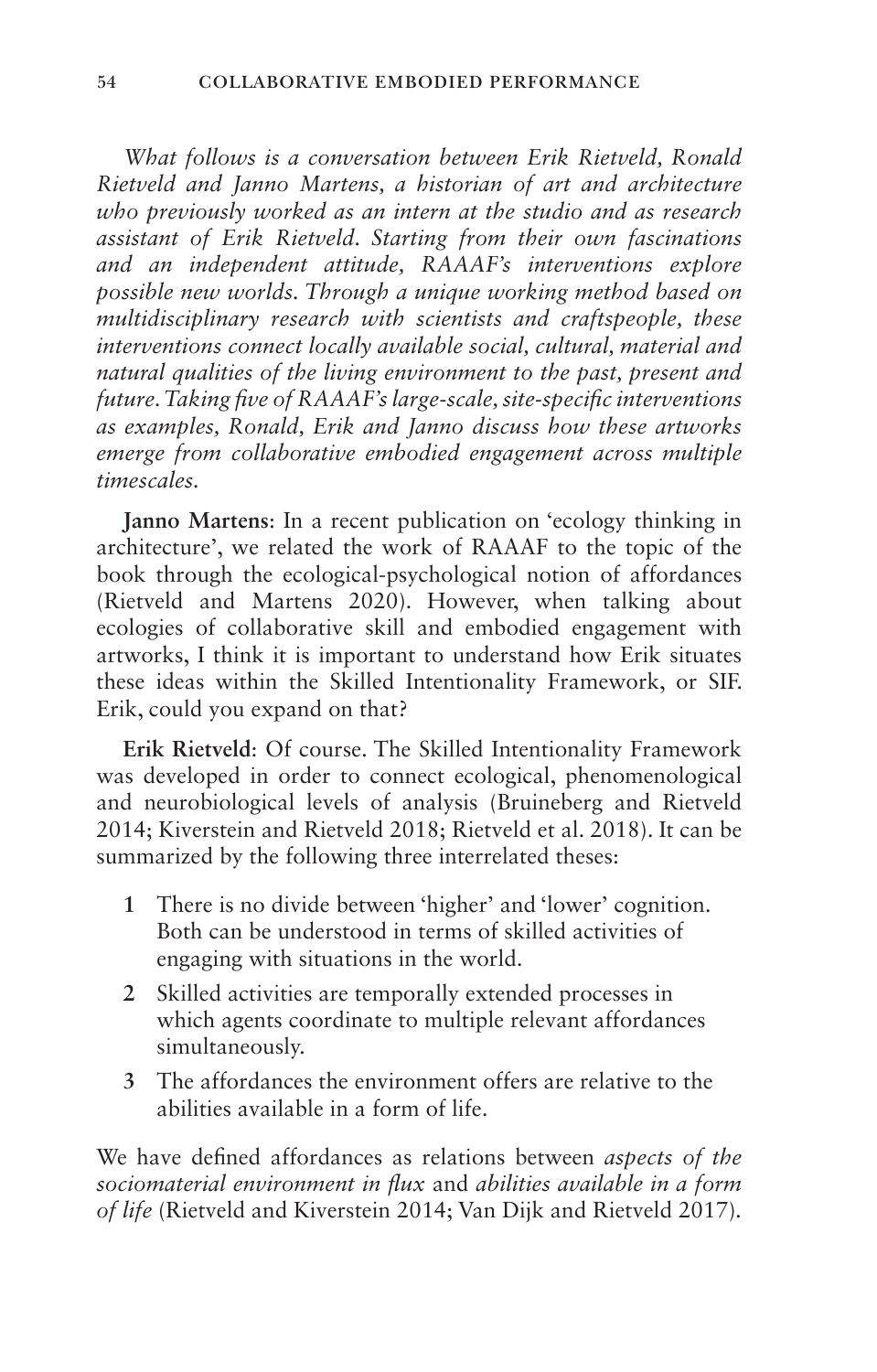*What follows is a conversation between Erik Rietveld, Ronald Rietveld and Janno Martens, a historian of art and architecture who previously worked as an intern at the studio and as research assistant of Erik Rietveld. Starting from their own fascinations and an independent attitude, RAAAF's interventions explore possible new worlds. Through a unique working method based on multidisciplinary research with scientists and craftspeople, these interventions connect locally available social, cultural, material and natural qualities of the living environment to the past, present and future. Taking five of RAAAF's large-scale, site-specific interventions as examples, Ronald, Erik and Janno discuss how these artworks emerge from collaborative embodied engagement across multiple timescales.*

**Janno Martens**: In a recent publication on 'ecology thinking in architecture', we related the work of RAAAF to the topic of the book through the ecological-psychological notion of affordances (Rietveld and Martens 2020). However, when talking about ecologies of collaborative skill and embodied engagement with artworks, I think it is important to understand how Erik situates these ideas within the Skilled Intentionality Framework, or SIF. Erik, could you expand on that?

**Erik Rietveld**: Of course. The Skilled Intentionality Framework was developed in order to connect ecological, phenomenological and neurobiological levels of analysis (Bruineberg and Rietveld 2014; Kiverstein and Rietveld 2018; Rietveld et al. 2018). It can be summarized by the following three interrelated theses:

- **1** There is no divide between 'higher' and 'lower' cognition. Both can be understood in terms of skilled activities of engaging with situations in the world.
- **2** Skilled activities are temporally extended processes in which agents coordinate to multiple relevant affordances simultaneously.
- **3** The affordances the environment offers are relative to the abilities available in a form of life.

We have defined affordances as relations between *aspects of the sociomaterial environment in flux* and *abilities available in a form of life* (Rietveld and Kiverstein 2014; Van Dijk and Rietveld 2017)*.*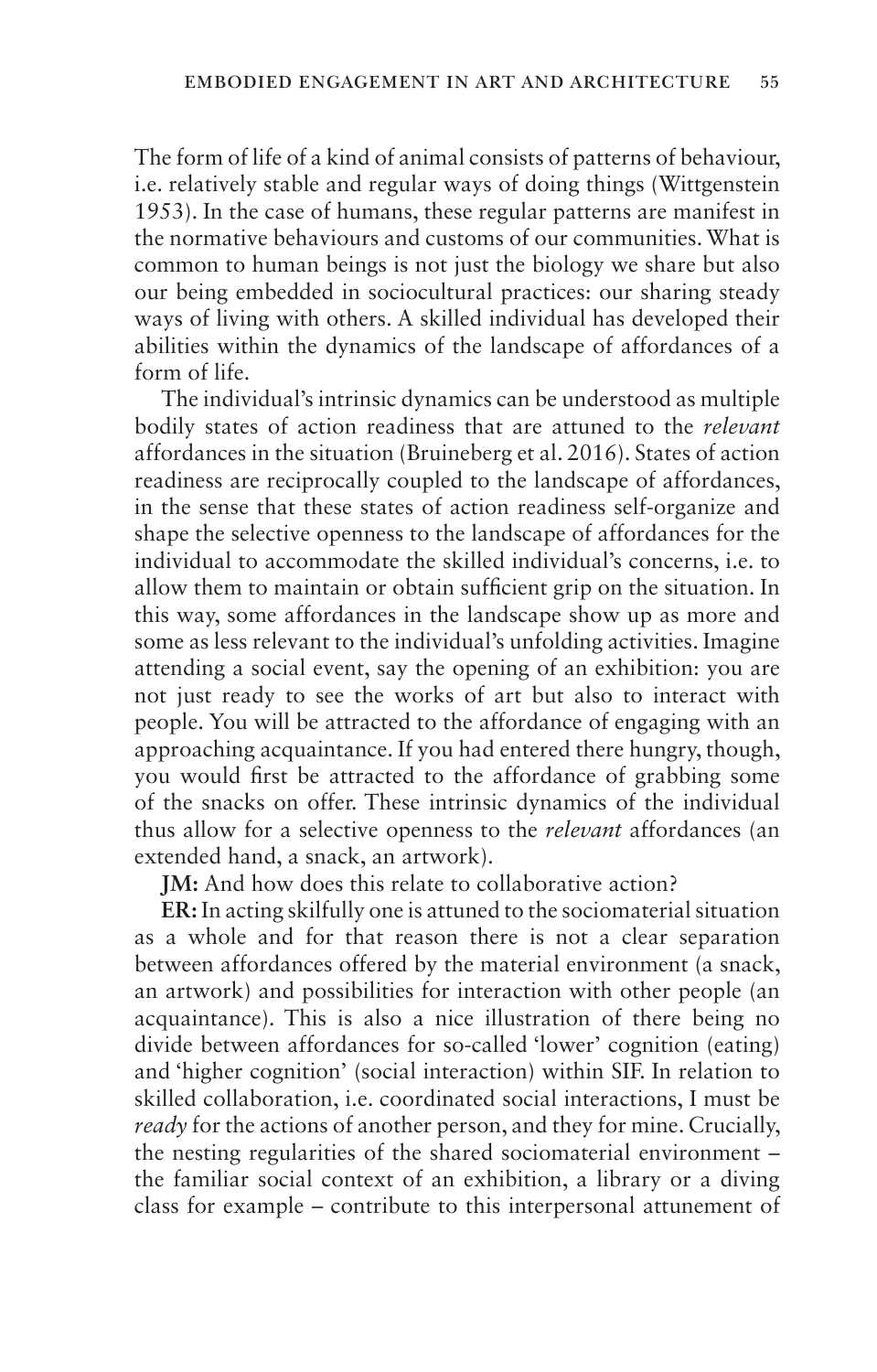The form of life of a kind of animal consists of patterns of behaviour, i.e. relatively stable and regular ways of doing things (Wittgenstein 1953). In the case of humans, these regular patterns are manifest in the normative behaviours and customs of our communities. What is common to human beings is not just the biology we share but also our being embedded in sociocultural practices: our sharing steady ways of living with others. A skilled individual has developed their abilities within the dynamics of the landscape of affordances of a form of life.

The individual's intrinsic dynamics can be understood as multiple bodily states of action readiness that are attuned to the *relevant* affordances in the situation (Bruineberg et al. 2016). States of action readiness are reciprocally coupled to the landscape of affordances, in the sense that these states of action readiness self-organize and shape the selective openness to the landscape of affordances for the individual to accommodate the skilled individual's concerns, i.e. to allow them to maintain or obtain sufficient grip on the situation. In this way, some affordances in the landscape show up as more and some as less relevant to the individual's unfolding activities. Imagine attending a social event, say the opening of an exhibition: you are not just ready to see the works of art but also to interact with people. You will be attracted to the affordance of engaging with an approaching acquaintance. If you had entered there hungry, though, you would first be attracted to the affordance of grabbing some of the snacks on offer. These intrinsic dynamics of the individual thus allow for a selective openness to the *relevant* affordances (an extended hand, a snack, an artwork).

**JM:** And how does this relate to collaborative action?

**ER:** In acting skilfully one is attuned to the sociomaterial situation as a whole and for that reason there is not a clear separation between affordances offered by the material environment (a snack, an artwork) and possibilities for interaction with other people (an acquaintance). This is also a nice illustration of there being no divide between affordances for so-called 'lower' cognition (eating) and 'higher cognition' (social interaction) within SIF. In relation to skilled collaboration, i.e. coordinated social interactions, I must be *ready* for the actions of another person, and they for mine. Crucially, the nesting regularities of the shared sociomaterial environment – the familiar social context of an exhibition, a library or a diving class for example – contribute to this interpersonal attunement of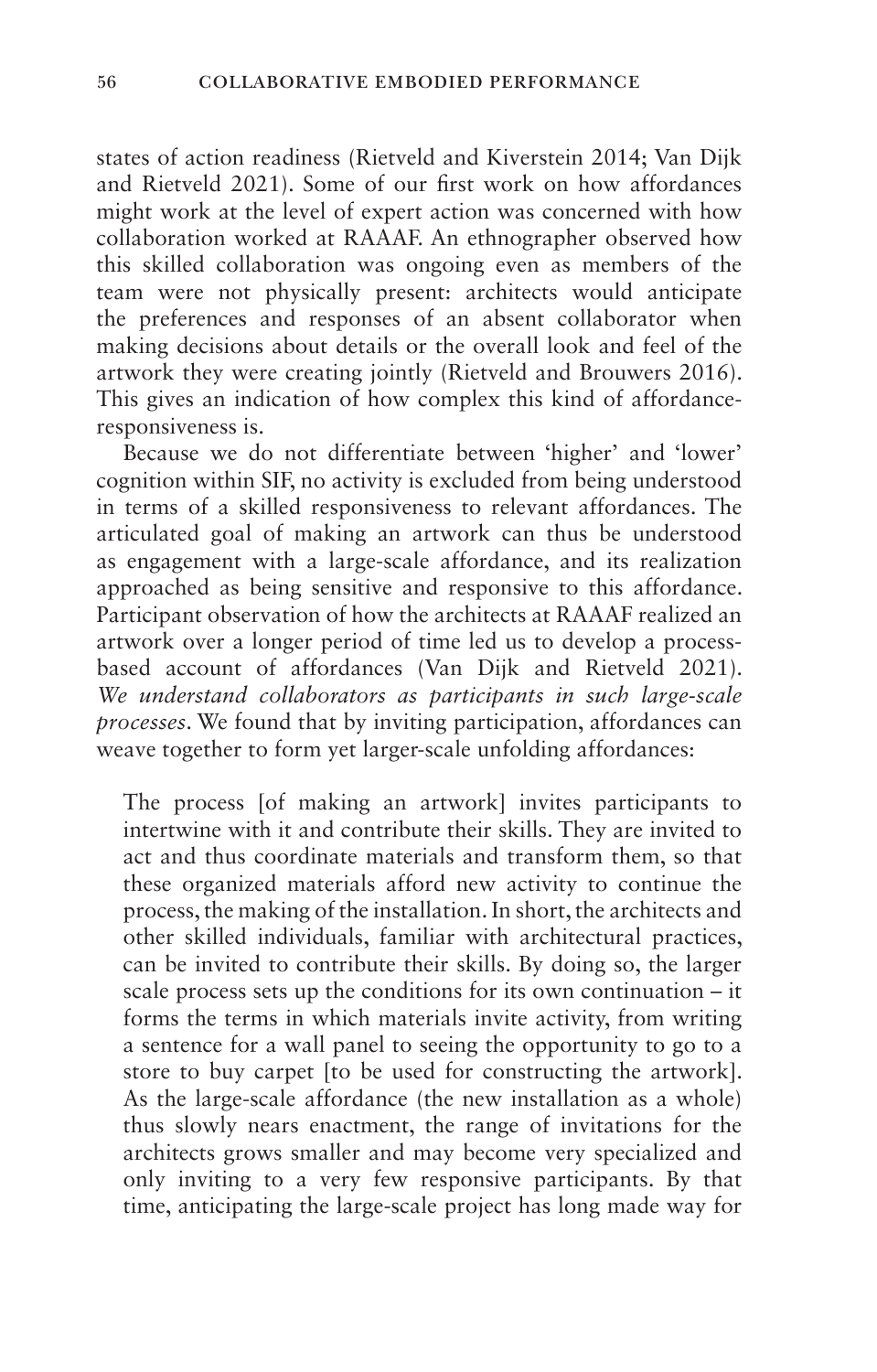states of action readiness (Rietveld and Kiverstein 2014; Van Dijk and Rietveld 2021). Some of our first work on how affordances might work at the level of expert action was concerned with how collaboration worked at RAAAF. An ethnographer observed how this skilled collaboration was ongoing even as members of the team were not physically present: architects would anticipate the preferences and responses of an absent collaborator when making decisions about details or the overall look and feel of the artwork they were creating jointly (Rietveld and Brouwers 2016). This gives an indication of how complex this kind of affordanceresponsiveness is.

Because we do not differentiate between 'higher' and 'lower' cognition within SIF, no activity is excluded from being understood in terms of a skilled responsiveness to relevant affordances. The articulated goal of making an artwork can thus be understood as engagement with a large-scale affordance, and its realization approached as being sensitive and responsive to this affordance. Participant observation of how the architects at RAAAF realized an artwork over a longer period of time led us to develop a processbased account of affordances (Van Dijk and Rietveld 2021). *We understand collaborators as participants in such large-scale processes*. We found that by inviting participation, affordances can weave together to form yet larger-scale unfolding affordances:

The process [of making an artwork] invites participants to intertwine with it and contribute their skills. They are invited to act and thus coordinate materials and transform them, so that these organized materials afford new activity to continue the process, the making of the installation. In short, the architects and other skilled individuals, familiar with architectural practices, can be invited to contribute their skills. By doing so, the larger scale process sets up the conditions for its own continuation – it forms the terms in which materials invite activity, from writing a sentence for a wall panel to seeing the opportunity to go to a store to buy carpet [to be used for constructing the artwork]. As the large-scale affordance (the new installation as a whole) thus slowly nears enactment, the range of invitations for the architects grows smaller and may become very specialized and only inviting to a very few responsive participants. By that time, anticipating the large-scale project has long made way for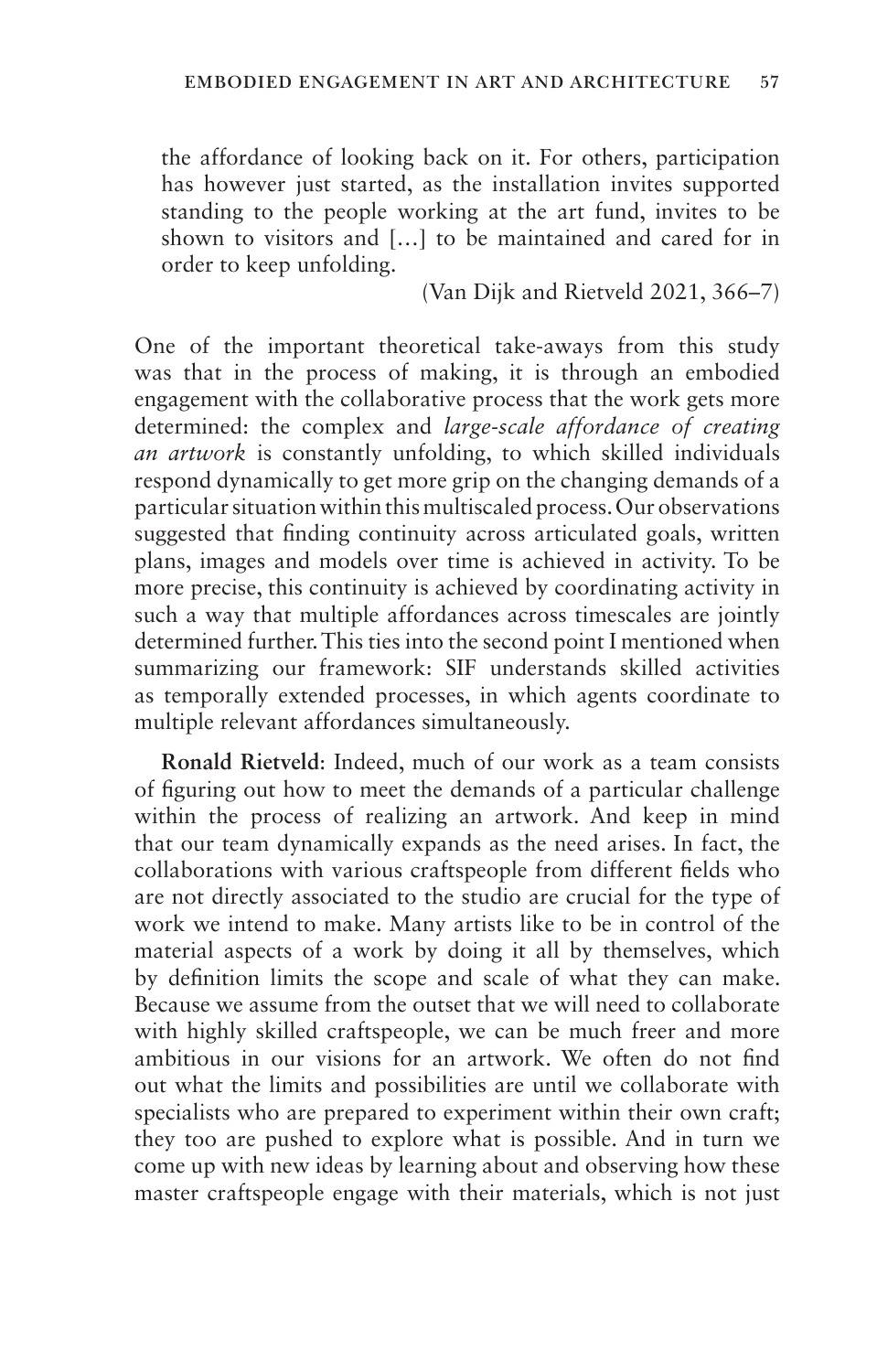the affordance of looking back on it. For others, participation has however just started, as the installation invites supported standing to the people working at the art fund, invites to be shown to visitors and […] to be maintained and cared for in order to keep unfolding.

(Van Dijk and Rietveld 2021, 366–7)

One of the important theoretical take-aways from this study was that in the process of making, it is through an embodied engagement with the collaborative process that the work gets more determined: the complex and *large-scale affordance of creating an artwork* is constantly unfolding, to which skilled individuals respond dynamically to get more grip on the changing demands of a particular situation within this multiscaled process. Our observations suggested that finding continuity across articulated goals, written plans, images and models over time is achieved in activity. To be more precise, this continuity is achieved by coordinating activity in such a way that multiple affordances across timescales are jointly determined further. This ties into the second point I mentioned when summarizing our framework: SIF understands skilled activities as temporally extended processes, in which agents coordinate to multiple relevant affordances simultaneously.

**Ronald Rietveld**: Indeed, much of our work as a team consists of figuring out how to meet the demands of a particular challenge within the process of realizing an artwork. And keep in mind that our team dynamically expands as the need arises. In fact, the collaborations with various craftspeople from different fields who are not directly associated to the studio are crucial for the type of work we intend to make. Many artists like to be in control of the material aspects of a work by doing it all by themselves, which by definition limits the scope and scale of what they can make. Because we assume from the outset that we will need to collaborate with highly skilled craftspeople, we can be much freer and more ambitious in our visions for an artwork. We often do not find out what the limits and possibilities are until we collaborate with specialists who are prepared to experiment within their own craft; they too are pushed to explore what is possible. And in turn we come up with new ideas by learning about and observing how these master craftspeople engage with their materials, which is not just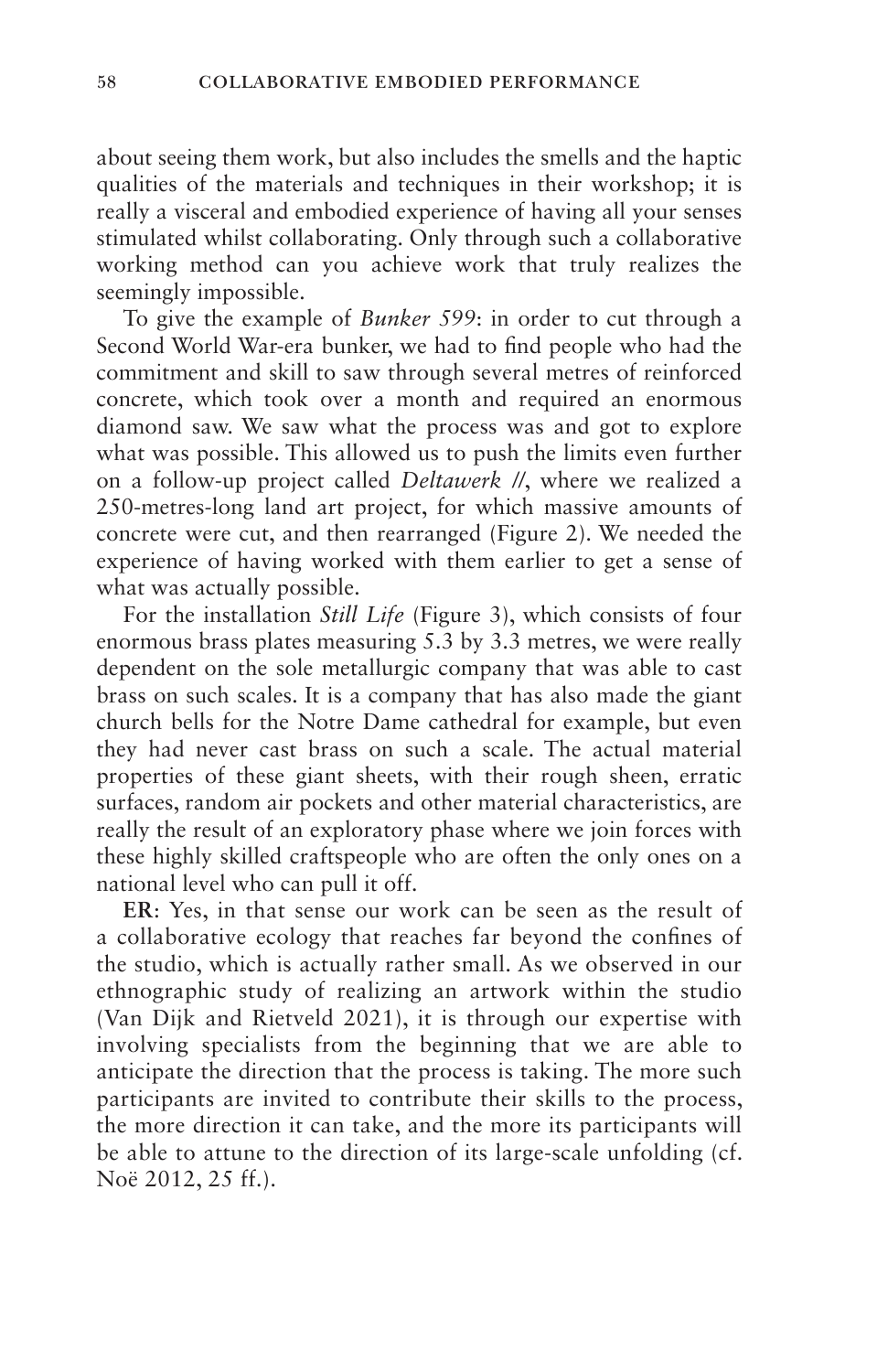about seeing them work, but also includes the smells and the haptic qualities of the materials and techniques in their workshop; it is really a visceral and embodied experience of having all your senses stimulated whilst collaborating. Only through such a collaborative working method can you achieve work that truly realizes the seemingly impossible.

To give the example of *Bunker 599*: in order to cut through a Second World War-era bunker, we had to find people who had the commitment and skill to saw through several metres of reinforced concrete, which took over a month and required an enormous diamond saw. We saw what the process was and got to explore what was possible. This allowed us to push the limits even further on a follow-up project called *Deltawerk //*, where we realized a 250-metres-long land art project, for which massive amounts of concrete were cut, and then rearranged (Figure 2). We needed the experience of having worked with them earlier to get a sense of what was actually possible.

For the installation *Still Life* (Figure 3), which consists of four enormous brass plates measuring 5.3 by 3.3 metres, we were really dependent on the sole metallurgic company that was able to cast brass on such scales. It is a company that has also made the giant church bells for the Notre Dame cathedral for example, but even they had never cast brass on such a scale. The actual material properties of these giant sheets, with their rough sheen, erratic surfaces, random air pockets and other material characteristics, are really the result of an exploratory phase where we join forces with these highly skilled craftspeople who are often the only ones on a national level who can pull it off.

**ER**: Yes, in that sense our work can be seen as the result of a collaborative ecology that reaches far beyond the confines of the studio, which is actually rather small. As we observed in our ethnographic study of realizing an artwork within the studio (Van Dijk and Rietveld 2021), it is through our expertise with involving specialists from the beginning that we are able to anticipate the direction that the process is taking. The more such participants are invited to contribute their skills to the process, the more direction it can take, and the more its participants will be able to attune to the direction of its large-scale unfolding (cf. Noë 2012, 25 ff.).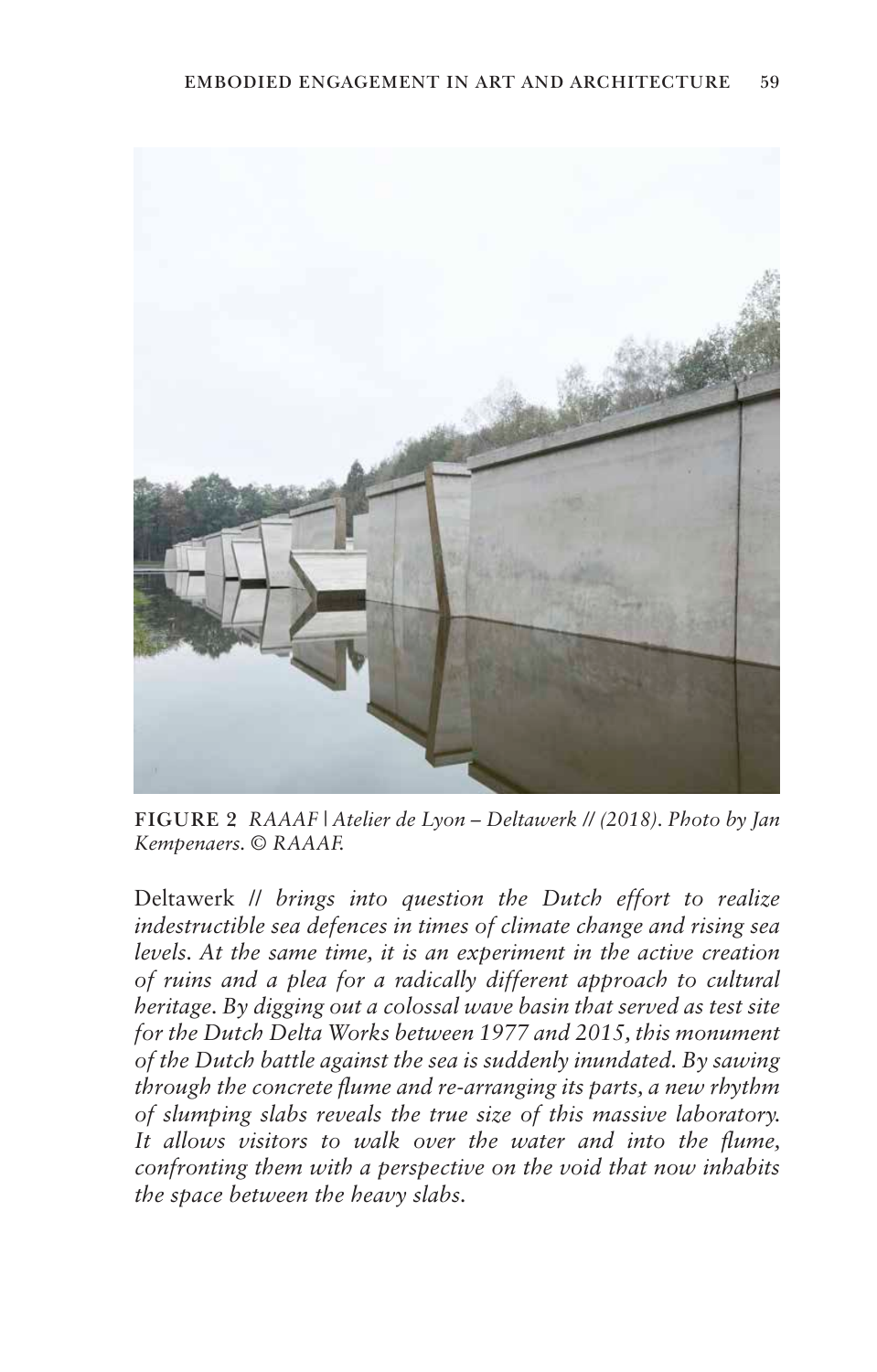

**FIGURE 2** *RAAAF | Atelier de Lyon – Deltawerk // (2018). Photo by Jan Kempenaers. © RAAAF.*

Deltawerk // *brings into question the Dutch effort to realize indestructible sea defences in times of climate change and rising sea levels. At the same time, it is an experiment in the active creation of ruins and a plea for a radically different approach to cultural heritage. By digging out a colossal wave basin that served as test site for the Dutch Delta Works between 1977 and 2015, this monument of the Dutch battle against the sea is suddenly inundated. By sawing through the concrete flume and re-arranging its parts, a new rhythm of slumping slabs reveals the true size of this massive laboratory. It allows visitors to walk over the water and into the flume, confronting them with a perspective on the void that now inhabits the space between the heavy slabs.*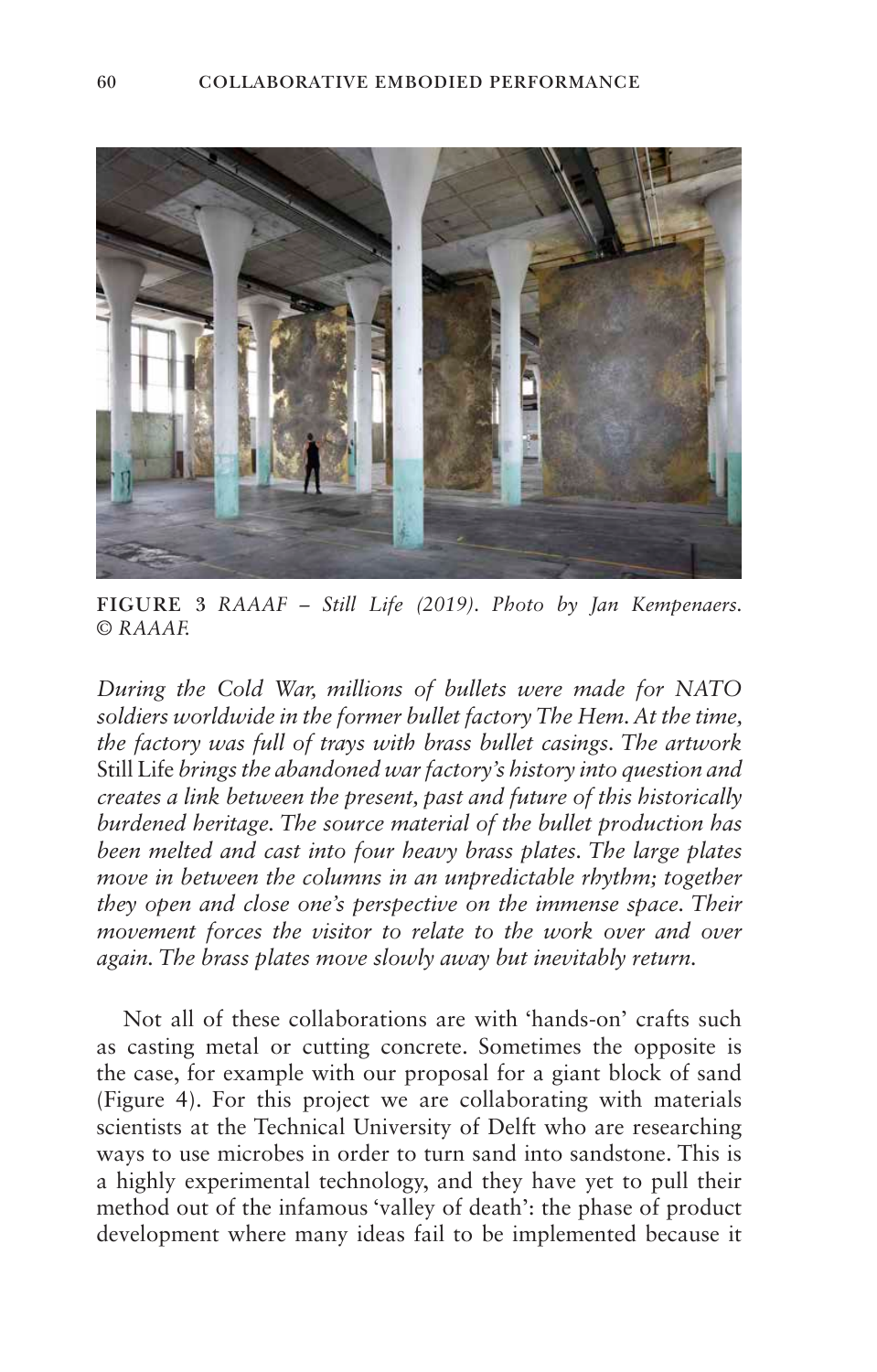

**FIGURE 3** *RAAAF – Still Life (2019). Photo by Jan Kempenaers. © RAAAF.*

*During the Cold War, millions of bullets were made for NATO soldiers worldwide in the former bullet factory The Hem. At the time, the factory was full of trays with brass bullet casings. The artwork* Still Life *brings the abandoned war factory's history into question and creates a link between the present, past and future of this historically burdened heritage. The source material of the bullet production has been melted and cast into four heavy brass plates. The large plates move in between the columns in an unpredictable rhythm; together they open and close one's perspective on the immense space. Their movement forces the visitor to relate to the work over and over again. The brass plates move slowly away but inevitably return.*

Not all of these collaborations are with 'hands-on' crafts such as casting metal or cutting concrete. Sometimes the opposite is the case, for example with our proposal for a giant block of sand (Figure 4). For this project we are collaborating with materials scientists at the Technical University of Delft who are researching ways to use microbes in order to turn sand into sandstone. This is a highly experimental technology, and they have yet to pull their method out of the infamous 'valley of death': the phase of product development where many ideas fail to be implemented because it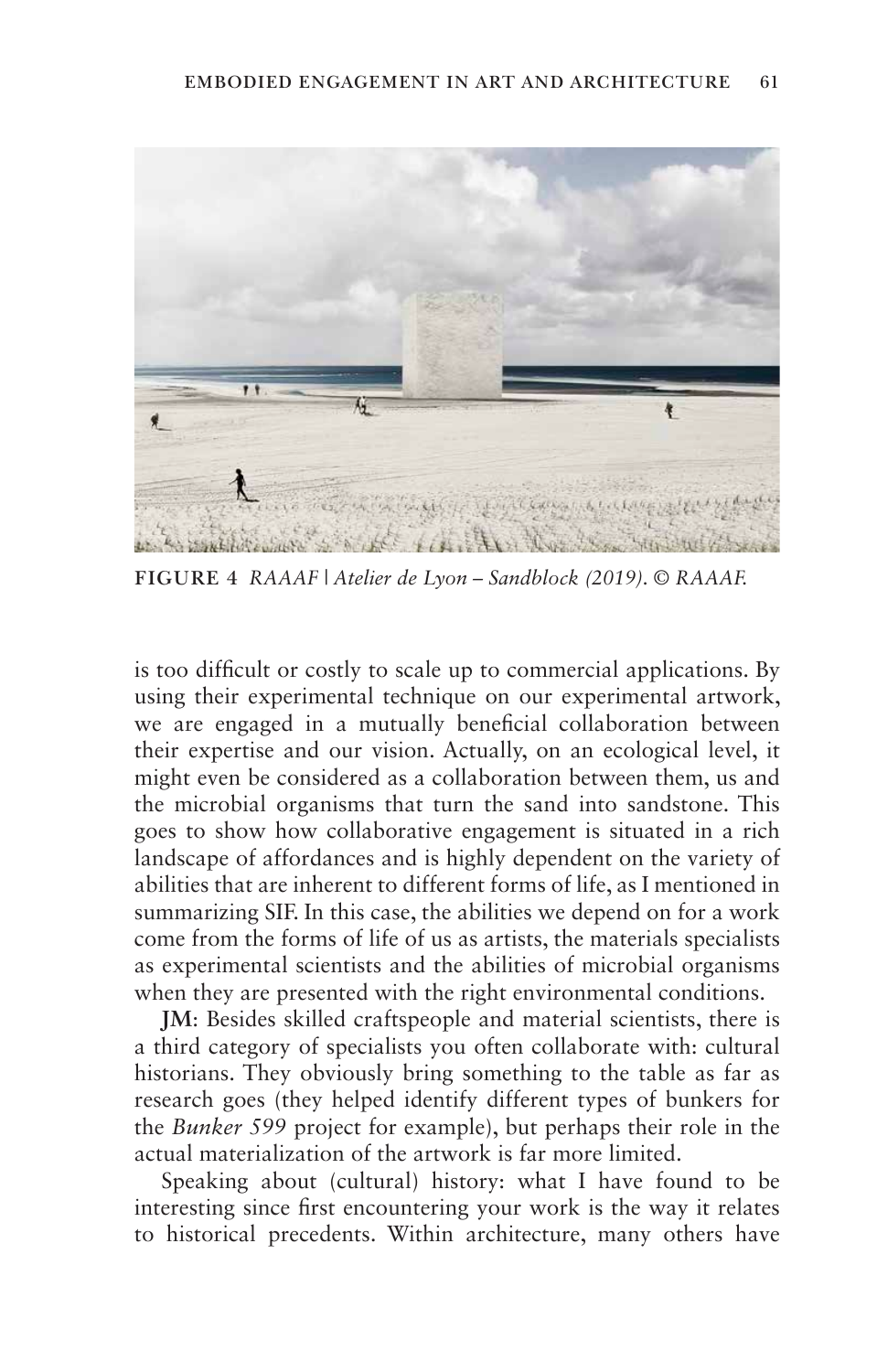

**FIGURE 4** *RAAAF | Atelier de Lyon – Sandblock (2019). © RAAAF.*

is too difficult or costly to scale up to commercial applications. By using their experimental technique on our experimental artwork, we are engaged in a mutually beneficial collaboration between their expertise and our vision. Actually, on an ecological level, it might even be considered as a collaboration between them, us and the microbial organisms that turn the sand into sandstone. This goes to show how collaborative engagement is situated in a rich landscape of affordances and is highly dependent on the variety of abilities that are inherent to different forms of life, as I mentioned in summarizing SIF. In this case, the abilities we depend on for a work come from the forms of life of us as artists, the materials specialists as experimental scientists and the abilities of microbial organisms when they are presented with the right environmental conditions.

**JM**: Besides skilled craftspeople and material scientists, there is a third category of specialists you often collaborate with: cultural historians. They obviously bring something to the table as far as research goes (they helped identify different types of bunkers for the *Bunker 599* project for example), but perhaps their role in the actual materialization of the artwork is far more limited.

Speaking about (cultural) history: what I have found to be interesting since first encountering your work is the way it relates to historical precedents. Within architecture, many others have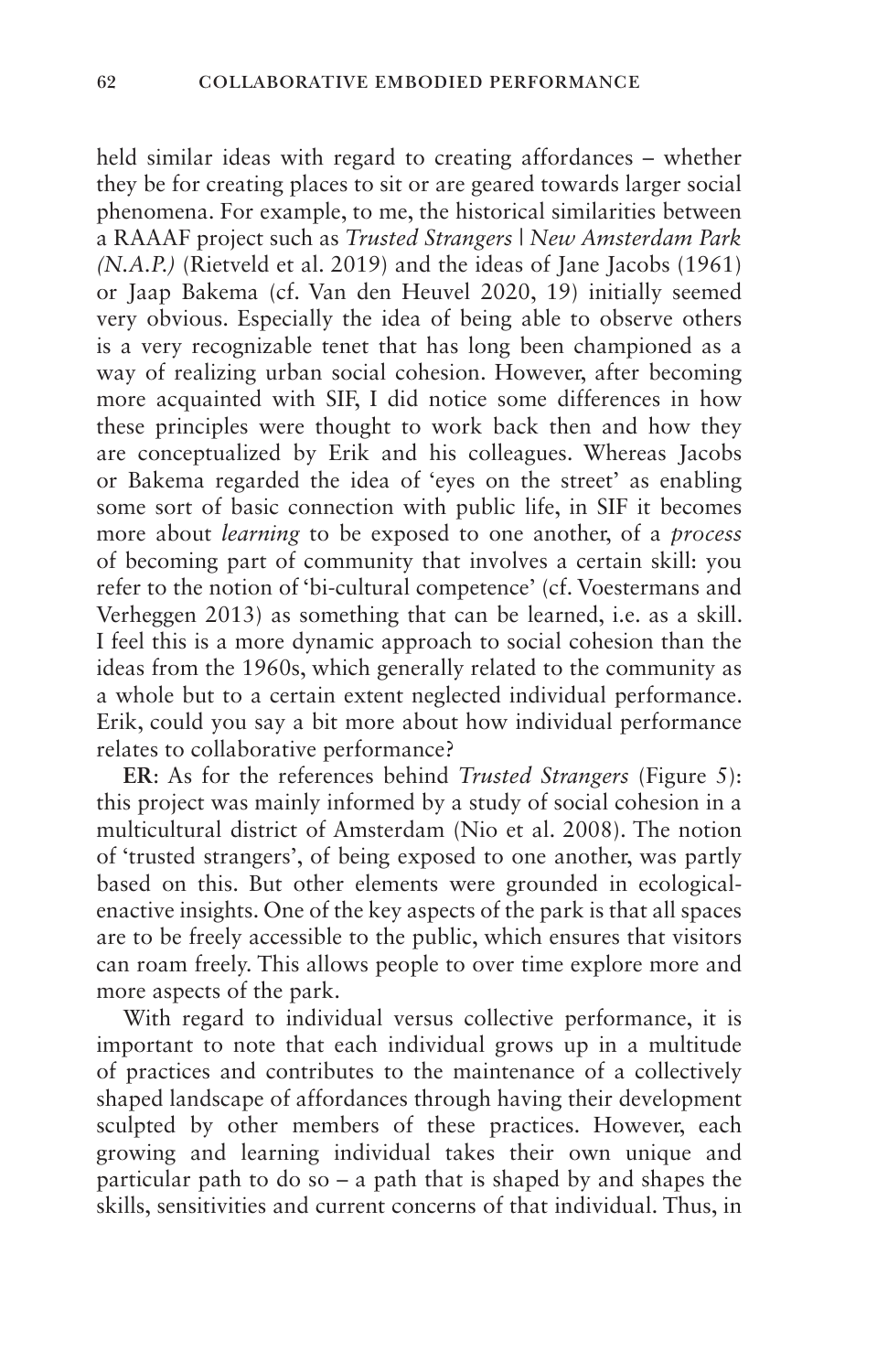held similar ideas with regard to creating affordances – whether they be for creating places to sit or are geared towards larger social phenomena. For example, to me, the historical similarities between a RAAAF project such as *Trusted Strangers | New Amsterdam Park (N.A.P.)* (Rietveld et al. 2019) and the ideas of Jane Jacobs (1961) or Jaap Bakema (cf. Van den Heuvel 2020, 19) initially seemed very obvious. Especially the idea of being able to observe others is a very recognizable tenet that has long been championed as a way of realizing urban social cohesion. However, after becoming more acquainted with SIF, I did notice some differences in how these principles were thought to work back then and how they are conceptualized by Erik and his colleagues. Whereas Jacobs or Bakema regarded the idea of 'eyes on the street' as enabling some sort of basic connection with public life, in SIF it becomes more about *learning* to be exposed to one another, of a *process* of becoming part of community that involves a certain skill: you refer to the notion of 'bi-cultural competence' (cf. Voestermans and Verheggen 2013) as something that can be learned, i.e. as a skill. I feel this is a more dynamic approach to social cohesion than the ideas from the 1960s, which generally related to the community as a whole but to a certain extent neglected individual performance. Erik, could you say a bit more about how individual performance relates to collaborative performance?

**ER**: As for the references behind *Trusted Strangers* (Figure 5): this project was mainly informed by a study of social cohesion in a multicultural district of Amsterdam (Nio et al. 2008). The notion of 'trusted strangers', of being exposed to one another, was partly based on this. But other elements were grounded in ecologicalenactive insights. One of the key aspects of the park is that all spaces are to be freely accessible to the public, which ensures that visitors can roam freely. This allows people to over time explore more and more aspects of the park.

With regard to individual versus collective performance, it is important to note that each individual grows up in a multitude of practices and contributes to the maintenance of a collectively shaped landscape of affordances through having their development sculpted by other members of these practices. However, each growing and learning individual takes their own unique and particular path to do so – a path that is shaped by and shapes the skills, sensitivities and current concerns of that individual. Thus, in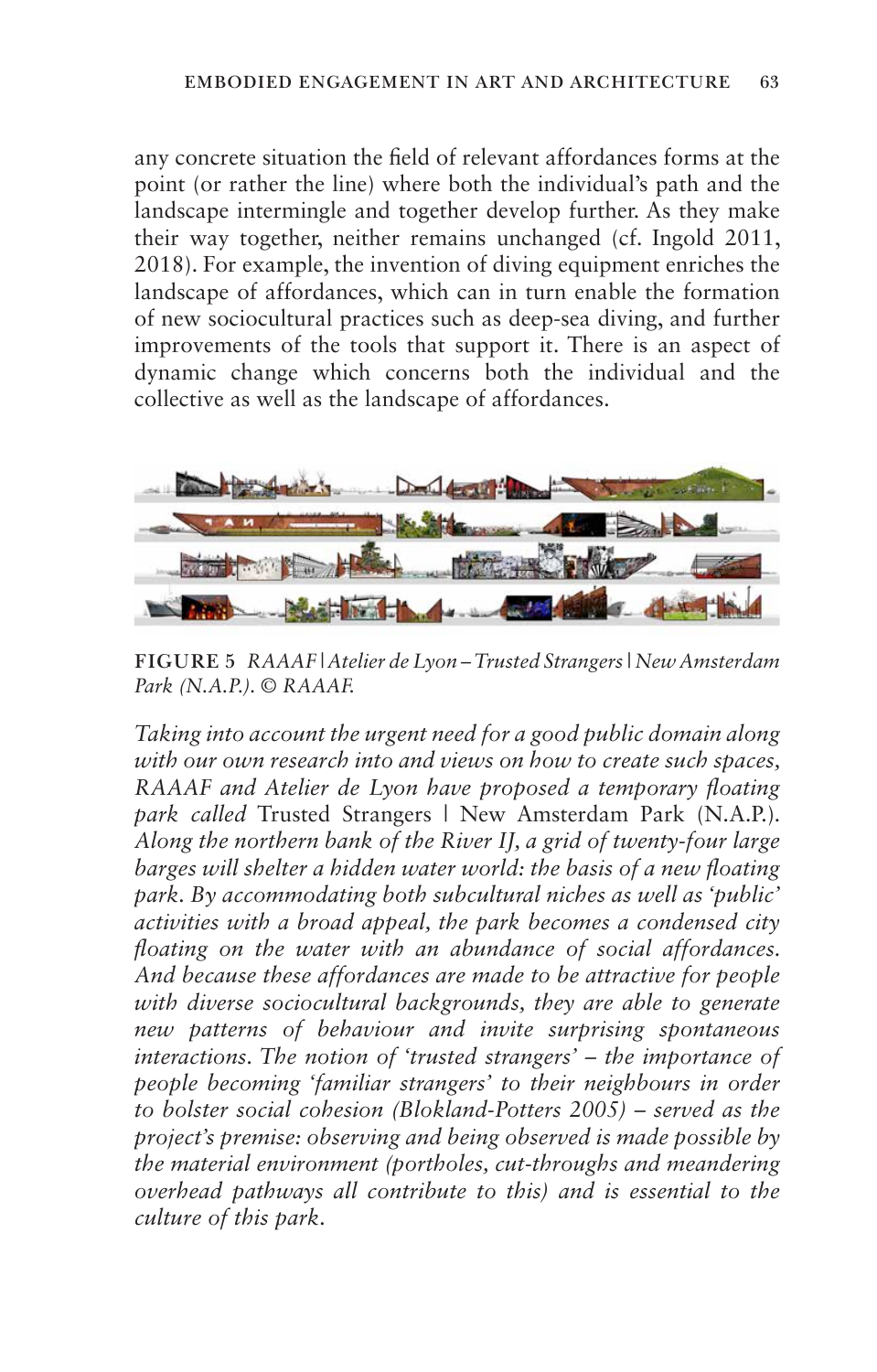any concrete situation the field of relevant affordances forms at the point (or rather the line) where both the individual's path and the landscape intermingle and together develop further. As they make their way together, neither remains unchanged (cf. Ingold 2011, 2018). For example, the invention of diving equipment enriches the landscape of affordances, which can in turn enable the formation of new sociocultural practices such as deep-sea diving, and further improvements of the tools that support it. There is an aspect of dynamic change which concerns both the individual and the collective as well as the landscape of affordances.



**FIGURE 5** *RAAAF | Atelier de Lyon – Trusted Strangers | New Amsterdam Park (N.A.P.). © RAAAF.*

*Taking into account the urgent need for a good public domain along with our own research into and views on how to create such spaces, RAAAF and Atelier de Lyon have proposed a temporary floating park called* Trusted Strangers | New Amsterdam Park (N.A.P.)*. Along the northern bank of the River IJ, a grid of twenty-four large barges will shelter a hidden water world: the basis of a new floating park. By accommodating both subcultural niches as well as 'public' activities with a broad appeal, the park becomes a condensed city floating on the water with an abundance of social affordances. And because these affordances are made to be attractive for people with diverse sociocultural backgrounds, they are able to generate new patterns of behaviour and invite surprising spontaneous interactions. The notion of 'trusted strangers' – the importance of people becoming 'familiar strangers' to their neighbours in order to bolster social cohesion (Blokland-Potters 2005) – served as the project's premise: observing and being observed is made possible by the material environment (portholes, cut-throughs and meandering overhead pathways all contribute to this) and is essential to the culture of this park.*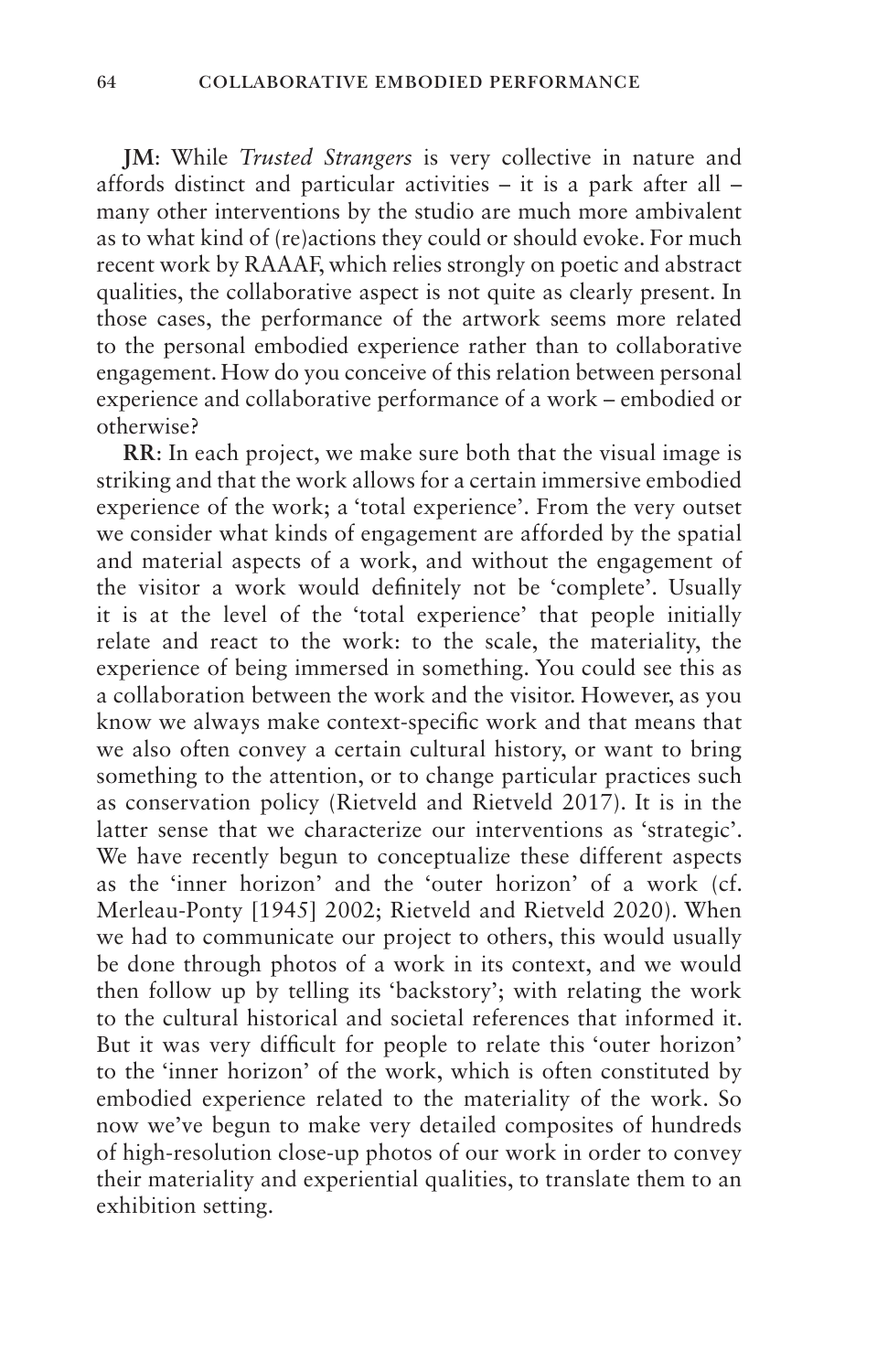**JM**: While *Trusted Strangers* is very collective in nature and affords distinct and particular activities – it is a park after all – many other interventions by the studio are much more ambivalent as to what kind of (re)actions they could or should evoke. For much recent work by RAAAF, which relies strongly on poetic and abstract qualities, the collaborative aspect is not quite as clearly present. In those cases, the performance of the artwork seems more related to the personal embodied experience rather than to collaborative engagement. How do you conceive of this relation between personal experience and collaborative performance of a work – embodied or otherwise?

**RR**: In each project, we make sure both that the visual image is striking and that the work allows for a certain immersive embodied experience of the work; a 'total experience'. From the very outset we consider what kinds of engagement are afforded by the spatial and material aspects of a work, and without the engagement of the visitor a work would definitely not be 'complete'. Usually it is at the level of the 'total experience' that people initially relate and react to the work: to the scale, the materiality, the experience of being immersed in something. You could see this as a collaboration between the work and the visitor. However, as you know we always make context-specific work and that means that we also often convey a certain cultural history, or want to bring something to the attention, or to change particular practices such as conservation policy (Rietveld and Rietveld 2017). It is in the latter sense that we characterize our interventions as 'strategic'. We have recently begun to conceptualize these different aspects as the 'inner horizon' and the 'outer horizon' of a work (cf. Merleau-Ponty [1945] 2002; Rietveld and Rietveld 2020). When we had to communicate our project to others, this would usually be done through photos of a work in its context, and we would then follow up by telling its 'backstory'; with relating the work to the cultural historical and societal references that informed it. But it was very difficult for people to relate this 'outer horizon' to the 'inner horizon' of the work, which is often constituted by embodied experience related to the materiality of the work. So now we've begun to make very detailed composites of hundreds of high-resolution close-up photos of our work in order to convey their materiality and experiential qualities, to translate them to an exhibition setting.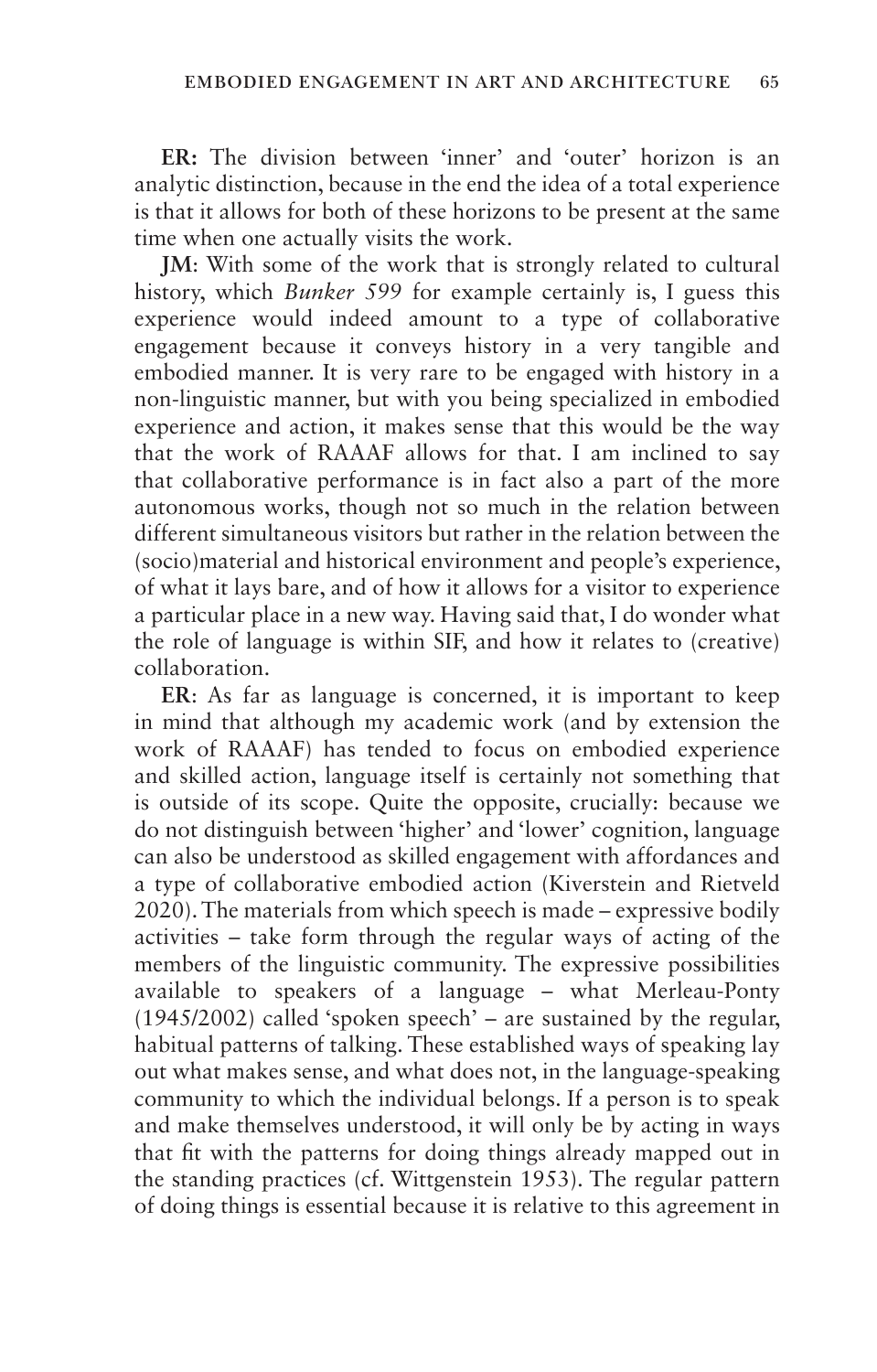**ER:** The division between 'inner' and 'outer' horizon is an analytic distinction, because in the end the idea of a total experience is that it allows for both of these horizons to be present at the same time when one actually visits the work.

**JM**: With some of the work that is strongly related to cultural history, which *Bunker 599* for example certainly is, I guess this experience would indeed amount to a type of collaborative engagement because it conveys history in a very tangible and embodied manner. It is very rare to be engaged with history in a non-linguistic manner, but with you being specialized in embodied experience and action, it makes sense that this would be the way that the work of RAAAF allows for that. I am inclined to say that collaborative performance is in fact also a part of the more autonomous works, though not so much in the relation between different simultaneous visitors but rather in the relation between the (socio)material and historical environment and people's experience, of what it lays bare, and of how it allows for a visitor to experience a particular place in a new way. Having said that, I do wonder what the role of language is within SIF, and how it relates to (creative) collaboration.

**ER**: As far as language is concerned, it is important to keep in mind that although my academic work (and by extension the work of RAAAF) has tended to focus on embodied experience and skilled action, language itself is certainly not something that is outside of its scope. Quite the opposite, crucially: because we do not distinguish between 'higher' and 'lower' cognition, language can also be understood as skilled engagement with affordances and a type of collaborative embodied action (Kiverstein and Rietveld 2020). The materials from which speech is made – expressive bodily activities – take form through the regular ways of acting of the members of the linguistic community. The expressive possibilities available to speakers of a language – what Merleau-Ponty  $(1945/2002)$  called 'spoken speech' – are sustained by the regular, habitual patterns of talking. These established ways of speaking lay out what makes sense, and what does not, in the language-speaking community to which the individual belongs. If a person is to speak and make themselves understood, it will only be by acting in ways that fit with the patterns for doing things already mapped out in the standing practices (cf. Wittgenstein 1953). The regular pattern of doing things is essential because it is relative to this agreement in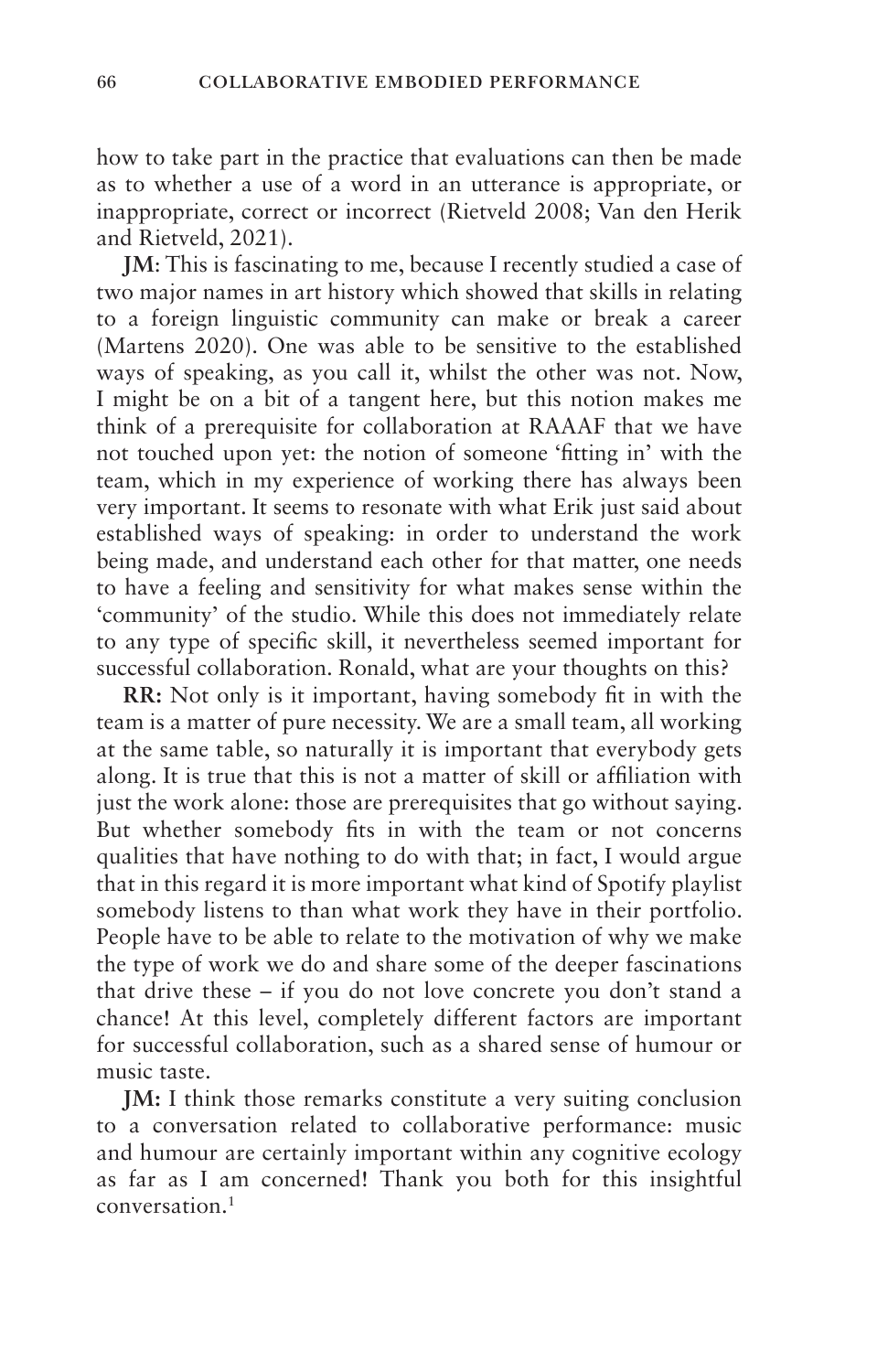how to take part in the practice that evaluations can then be made as to whether a use of a word in an utterance is appropriate, or inappropriate, correct or incorrect (Rietveld 2008; Van den Herik and Rietveld, 2021).

**JM**: This is fascinating to me, because I recently studied a case of two major names in art history which showed that skills in relating to a foreign linguistic community can make or break a career (Martens 2020). One was able to be sensitive to the established ways of speaking, as you call it, whilst the other was not. Now, I might be on a bit of a tangent here, but this notion makes me think of a prerequisite for collaboration at RAAAF that we have not touched upon yet: the notion of someone 'fitting in' with the team, which in my experience of working there has always been very important. It seems to resonate with what Erik just said about established ways of speaking: in order to understand the work being made, and understand each other for that matter, one needs to have a feeling and sensitivity for what makes sense within the 'community' of the studio. While this does not immediately relate to any type of specific skill, it nevertheless seemed important for successful collaboration. Ronald, what are your thoughts on this?

**RR:** Not only is it important, having somebody fit in with the team is a matter of pure necessity. We are a small team, all working at the same table, so naturally it is important that everybody gets along. It is true that this is not a matter of skill or affiliation with just the work alone: those are prerequisites that go without saying. But whether somebody fits in with the team or not concerns qualities that have nothing to do with that; in fact, I would argue that in this regard it is more important what kind of Spotify playlist somebody listens to than what work they have in their portfolio. People have to be able to relate to the motivation of why we make the type of work we do and share some of the deeper fascinations that drive these – if you do not love concrete you don't stand a chance! At this level, completely different factors are important for successful collaboration, such as a shared sense of humour or music taste.

**JM:** I think those remarks constitute a very suiting conclusion to a conversation related to collaborative performance: music and humour are certainly important within any cognitive ecology as far as I am concerned! Thank you both for this insightful conversation.1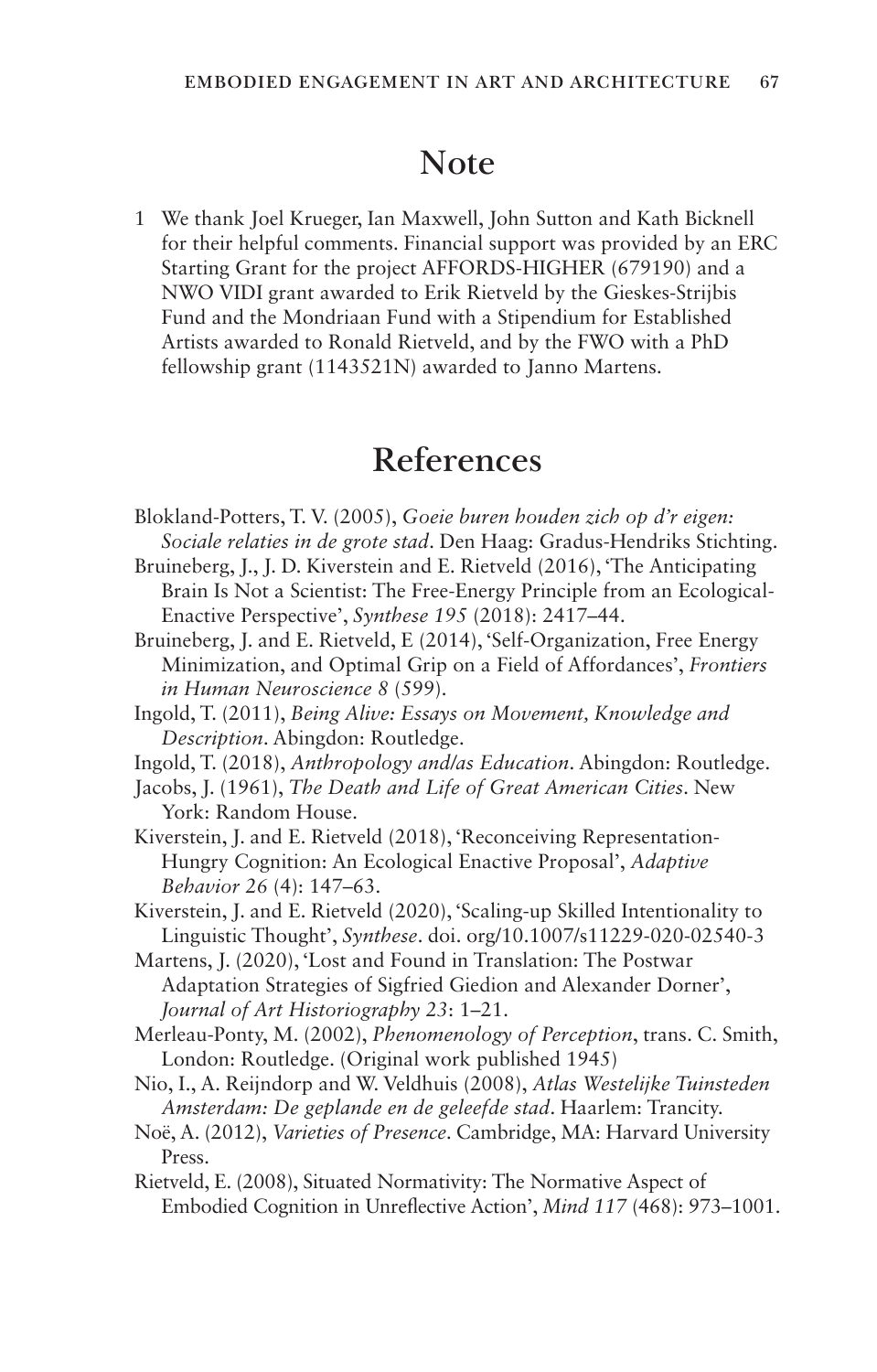#### **Note**

1 We thank Joel Krueger, Ian Maxwell, John Sutton and Kath Bicknell for their helpful comments. Financial support was provided by an ERC Starting Grant for the project AFFORDS-HIGHER (679190) and a NWO VIDI grant awarded to Erik Rietveld by the Gieskes-Strijbis Fund and the Mondriaan Fund with a Stipendium for Established Artists awarded to Ronald Rietveld, and by the FWO with a PhD fellowship grant (1143521N) awarded to Janno Martens.

#### **References**

- Blokland-Potters, T. V. (2005), *Goeie buren houden zich op d'r eigen: Sociale relaties in de grote stad*. Den Haag: Gradus-Hendriks Stichting.
- Bruineberg, J., J. D. Kiverstein and E. Rietveld (2016), 'The Anticipating Brain Is Not a Scientist: The Free-Energy Principle from an Ecological-Enactive Perspective', *Synthese 195* (2018): 2417–44.
- Bruineberg, J. and E. Rietveld, E (2014), 'Self-Organization, Free Energy Minimization, and Optimal Grip on a Field of Affordances', *Frontiers in Human Neuroscience 8* (599).
- Ingold, T. (2011), *Being Alive: Essays on Movement, Knowledge and Description*. Abingdon: Routledge.
- Ingold, T. (2018), *Anthropology and/as Education*. Abingdon: Routledge.
- Jacobs, J. (1961), *The Death and Life of Great American Cities*. New York: Random House.
- Kiverstein, J. and E. Rietveld (2018), 'Reconceiving Representation-Hungry Cognition: An Ecological Enactive Proposal', *Adaptive Behavior 26* (4): 147–63.
- Kiverstein, J. and E. Rietveld (2020), 'Scaling-up Skilled Intentionality to Linguistic Thought', *Synthese*. doi. org/10.1007/s11229-020-02540-3
- Martens, J. (2020), 'Lost and Found in Translation: The Postwar Adaptation Strategies of Sigfried Giedion and Alexander Dorner', *Journal of Art Historiography 23*: 1–21.
- Merleau-Ponty, M. (2002), *Phenomenology of Perception*, trans. C. Smith, London: Routledge. (Original work published 1945)
- Nio, I., A. Reijndorp and W. Veldhuis (2008), *Atlas Westelijke Tuinsteden Amsterdam: De geplande en de geleefde stad*. Haarlem: Trancity.
- Noë, A. (2012), *Varieties of Presence*. Cambridge, MA: Harvard University Press.
- Rietveld, E. (2008), Situated Normativity: The Normative Aspect of Embodied Cognition in Unreflective Action', *Mind 117* (468): 973–1001.